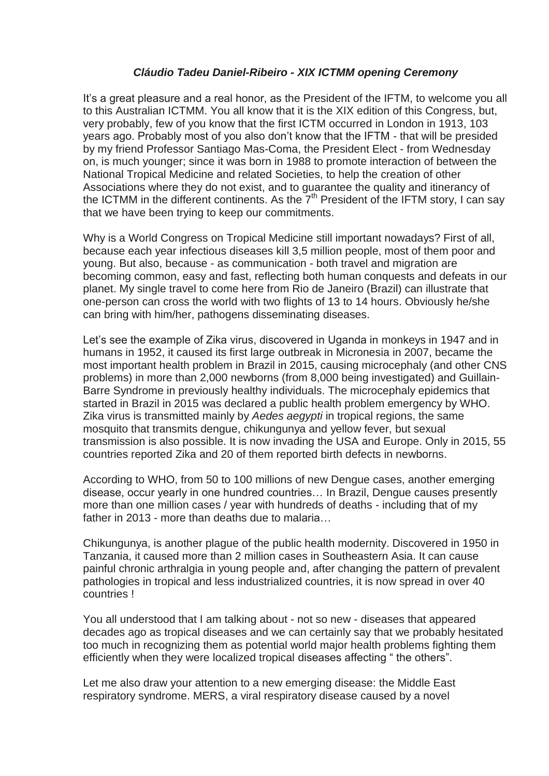## *Cláudio Tadeu Daniel-Ribeiro - XIX ICTMM opening Ceremony*

It's a great pleasure and a real honor, as the President of the IFTM, to welcome you all to this Australian ICTMM. You all know that it is the XIX edition of this Congress, but, very probably, few of you know that the first ICTM occurred in London in 1913, 103 years ago. Probably most of you also don't know that the IFTM - that will be presided by my friend Professor Santiago Mas-Coma, the President Elect - from Wednesday on, is much younger; since it was born in 1988 to promote interaction of between the National Tropical Medicine and related Societies, to help the creation of other Associations where they do not exist, and to guarantee the quality and itinerancy of the ICTMM in the different continents. As the  $7<sup>th</sup>$  President of the IFTM story, I can say that we have been trying to keep our commitments.

Why is a World Congress on Tropical Medicine still important nowadays? First of all, because each year infectious diseases kill 3,5 million people, most of them poor and young. But also, because - as communication - both travel and migration are becoming common, easy and fast, reflecting both human conquests and defeats in our planet. My single travel to come here from Rio de Janeiro (Brazil) can illustrate that one-person can cross the world with two flights of 13 to 14 hours. Obviously he/she can bring with him/her, pathogens disseminating diseases.

Let's see the example of Zika virus, discovered in Uganda in monkeys in 1947 and in humans in 1952, it caused its first large outbreak in Micronesia in 2007, became the most important health problem in Brazil in 2015, causing microcephaly (and other CNS problems) in more than 2,000 newborns (from 8,000 being investigated) and Guillain-Barre Syndrome in previously healthy individuals. The microcephaly epidemics that started in Brazil in 2015 was declared a public health problem emergency by WHO. Zika virus is transmitted mainly by *Aedes aegypti* in tropical regions, the same mosquito that transmits dengue, chikungunya and yellow fever, but sexual transmission is also possible. It is now invading the USA and Europe. Only in 2015, 55 countries reported Zika and 20 of them reported birth defects in newborns.

According to WHO, from 50 to 100 millions of new Dengue cases, another emerging disease, occur yearly in one hundred countries… In Brazil, Dengue causes presently more than one million cases / year with hundreds of deaths - including that of my father in 2013 - more than deaths due to malaria…

Chikungunya, is another plague of the public health modernity. Discovered in 1950 in Tanzania, it caused more than 2 million cases in Southeastern Asia. It can cause painful chronic arthralgia in young people and, after changing the pattern of prevalent pathologies in tropical and less industrialized countries, it is now spread in over 40 countries !

You all understood that I am talking about - not so new - diseases that appeared decades ago as tropical diseases and we can certainly say that we probably hesitated too much in recognizing them as potential world major health problems fighting them efficiently when they were localized tropical diseases affecting " the others".

Let me also draw your attention to a new emerging disease: the Middle East respiratory syndrome. MERS, a viral respiratory disease caused by a novel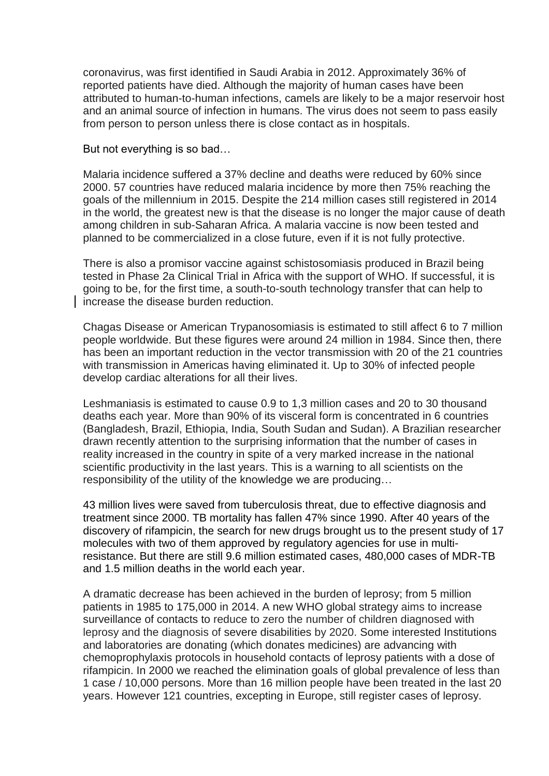coronavirus, was first identified in Saudi Arabia in 2012. Approximately 36% of reported patients have died. Although the majority of human cases have been attributed to human-to-human infections, camels are likely to be a major reservoir host and an animal source of infection in humans. The virus does not seem to pass easily from person to person unless there is close contact as in hospitals.

But not everything is so bad…

Malaria incidence suffered a 37% decline and deaths were reduced by 60% since 2000. 57 countries have reduced malaria incidence by more then 75% reaching the goals of the millennium in 2015. Despite the 214 million cases still registered in 2014 in the world, the greatest new is that the disease is no longer the major cause of death among children in sub-Saharan Africa. A malaria vaccine is now been tested and planned to be commercialized in a close future, even if it is not fully protective.

There is also a promisor vaccine against schistosomiasis produced in Brazil being tested in Phase 2a Clinical Trial in Africa with the support of WHO. If successful, it is going to be, for the first time, a south-to-south technology transfer that can help to increase the disease burden reduction.

Chagas Disease or American Trypanosomiasis is estimated to still affect 6 to 7 million people worldwide. But these figures were around 24 million in 1984. Since then, there has been an important reduction in the vector transmission with 20 of the 21 countries with transmission in Americas having eliminated it. Up to 30% of infected people develop cardiac alterations for all their lives.

Leshmaniasis is estimated to cause 0.9 to 1,3 million cases and 20 to 30 thousand deaths each year. More than 90% of its visceral form is concentrated in 6 countries (Bangladesh, Brazil, Ethiopia, India, South Sudan and Sudan). A Brazilian researcher drawn recently attention to the surprising information that the number of cases in reality increased in the country in spite of a very marked increase in the national scientific productivity in the last years. This is a warning to all scientists on the responsibility of the utility of the knowledge we are producing…

43 million lives were saved from tuberculosis threat, due to effective diagnosis and treatment since 2000. TB mortality has fallen 47% since 1990. After 40 years of the discovery of rifampicin, the search for new drugs brought us to the present study of 17 molecules with two of them approved by regulatory agencies for use in multiresistance. But there are still 9.6 million estimated cases, 480,000 cases of MDR-TB and 1.5 million deaths in the world each year.

A dramatic decrease has been achieved in the burden of leprosy; from 5 million patients in 1985 to 175,000 in 2014. A new WHO global strategy aims to increase surveillance of contacts to reduce to zero the number of children diagnosed with leprosy and the diagnosis of severe disabilities by 2020. Some interested Institutions and laboratories are donating (which donates medicines) are advancing with chemoprophylaxis protocols in household contacts of leprosy patients with a dose of rifampicin. In 2000 we reached the elimination goals of global prevalence of less than 1 case / 10,000 persons. More than 16 million people have been treated in the last 20 years. However 121 countries, excepting in Europe, still register cases of leprosy.